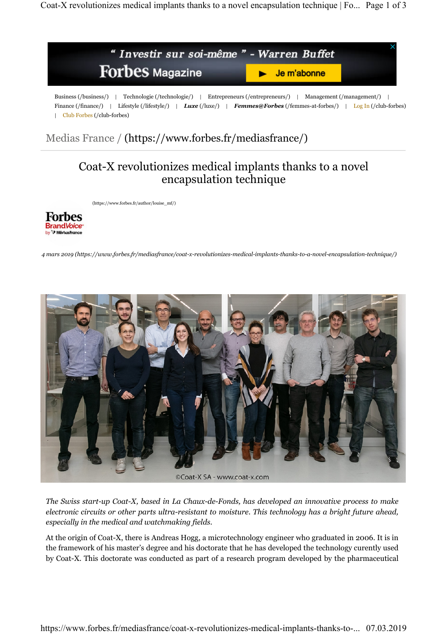# Coat-X revolutionizes medical implants thanks to a novel encapsulation technique

(https://www.forbes.fr/author/louise\_mf/)



*4 mars 2019 (https://www.forbes.fr/mediasfrance/coat-x-revolutionizes-medical-implants-thanks-to-a-novel-encapsulation-technique/)*



*The Swiss start-up Coat-X, based in La Chaux-de-Fonds, has developed an innovative process to make electronic circuits or other parts ultra-resistant to moisture. This technology has a bright future ahead, especially in the medical and watchmaking fields.*

At the origin of Coat-X, there is Andreas Hogg, a microtechnology engineer who graduated in 2006. It is in the framework of his master's degree and his doctorate that he has developed the technology curently used by Coat-X. This doctorate was conducted as part of a research program developed by the pharmaceutical